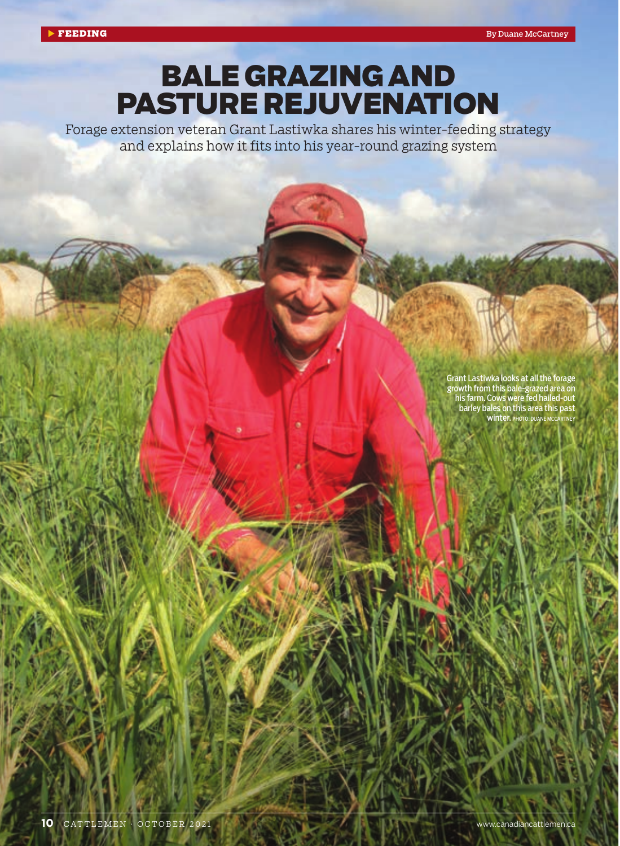## BALE GRAZING AND PASTURE REJUVENATION

Forage extension veteran Grant Lastiwka shares his winter-feeding strategy and explains how it fits into his year-round grazing system

> Grant Lastiwka looks at all the forage growth from this bale-grazed area on his farm. Cows were fed hailed-out barley bales on this area this past WINTER. PHOTO: DUANE MC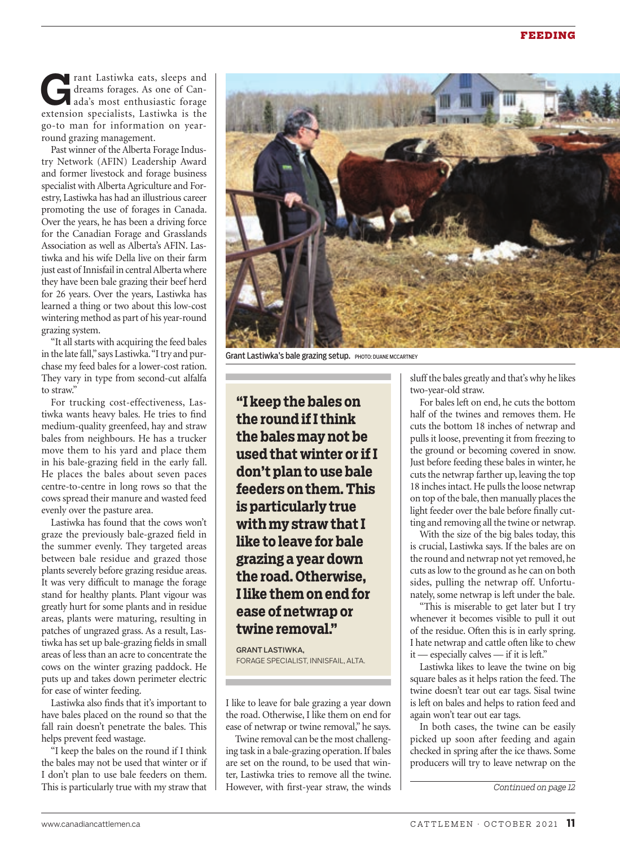rant Lastiwka eats, sleeps and dreams forages. As one of Canada's most enthusiastic forage extension specialists, Lastiwka is the go-to man for information on yearround grazing management.

Past winner of the Alberta Forage Industry Network (AFIN) Leadership Award and former livestock and forage business specialist with Alberta Agriculture and Forestry, Lastiwka has had an illustrious career promoting the use of forages in Canada. Over the years, he has been a driving force for the Canadian Forage and Grasslands Association as well as Alberta's AFIN. Lastiwka and his wife Della live on their farm just east of Innisfail in central Alberta where they have been bale grazing their beef herd for 26 years. Over the years, Lastiwka has learned a thing or two about this low-cost wintering method as part of his year-round grazing system.

"It all starts with acquiring the feed bales in the late fall," says Lastiwka. "I try and purchase my feed bales for a lower-cost ration. They vary in type from second-cut alfalfa to straw."

For trucking cost-effectiveness, Lastiwka wants heavy bales. He tries to find medium-quality greenfeed, hay and straw bales from neighbours. He has a trucker move them to his yard and place them in his bale-grazing field in the early fall. He places the bales about seven paces centre-to-centre in long rows so that the cows spread their manure and wasted feed evenly over the pasture area.

Lastiwka has found that the cows won't graze the previously bale-grazed field in the summer evenly. They targeted areas between bale residue and grazed those plants severely before grazing residue areas. It was very difficult to manage the forage stand for healthy plants. Plant vigour was greatly hurt for some plants and in residue areas, plants were maturing, resulting in patches of ungrazed grass. As a result, Lastiwka has set up bale-grazing fields in small areas of less than an acre to concentrate the cows on the winter grazing paddock. He puts up and takes down perimeter electric for ease of winter feeding.

Lastiwka also finds that it's important to have bales placed on the round so that the fall rain doesn't penetrate the bales. This helps prevent feed wastage.

"I keep the bales on the round if I think the bales may not be used that winter or if I don't plan to use bale feeders on them. This is particularly true with my straw that



Grant Lastiwka's bale grazing setup. PHOTO: DUANE MCCARTNEY

**"I keep the bales on the round if I think the bales may not be used that winter or if I don't plan to use bale feeders on them. This is particularly true with my straw that I like to leave for bale grazing a year down the road. Otherwise, I like them on end for ease of netwrap or twine removal."** 

**GRANTI ASTIWKA.** FORAGE SPECIALIST, INNISFAIL, ALTA.

I like to leave for bale grazing a year down the road. Otherwise, I like them on end for ease of netwrap or twine removal," he says.

Twine removal can be the most challenging task in a bale-grazing operation. If bales are set on the round, to be used that winter, Lastiwka tries to remove all the twine. However, with first-year straw, the winds

sluff the bales greatly and that's why he likes two-year-old straw.

For bales left on end, he cuts the bottom half of the twines and removes them. He cuts the bottom 18 inches of netwrap and pulls it loose, preventing it from freezing to the ground or becoming covered in snow. Just before feeding these bales in winter, he cuts the netwrap farther up, leaving the top 18 inches intact. He pulls the loose netwrap on top of the bale, then manually places the light feeder over the bale before finally cutting and removing all the twine or netwrap.

With the size of the big bales today, this is crucial, Lastiwka says. If the bales are on the round and netwrap not yet removed, he cuts as low to the ground as he can on both sides, pulling the netwrap off. Unfortunately, some netwrap is left under the bale.

"This is miserable to get later but I try whenever it becomes visible to pull it out of the residue. Often this is in early spring. I hate netwrap and cattle often like to chew it — especially calves — if it is left."

Lastiwka likes to leave the twine on big square bales as it helps ration the feed. The twine doesn't tear out ear tags. Sisal twine is left on bales and helps to ration feed and again won't tear out ear tags.

In both cases, the twine can be easily picked up soon after feeding and again checked in spring after the ice thaws. Some producers will try to leave netwrap on the

*Continued on page 12*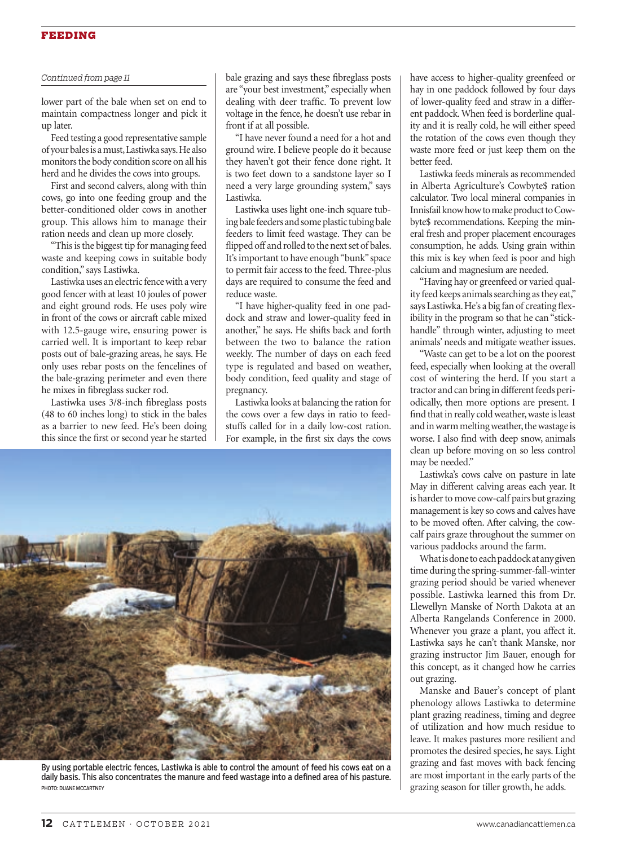## FEEDING

## *Continued from page 11*

lower part of the bale when set on end to maintain compactness longer and pick it up later.

Feed testing a good representative sample of your bales is a must, Lastiwka says. He also monitors the body condition score on all his herd and he divides the cows into groups.

First and second calvers, along with thin cows, go into one feeding group and the better-conditioned older cows in another group. This allows him to manage their ration needs and clean up more closely.

"This is the biggest tip for managing feed waste and keeping cows in suitable body condition," says Lastiwka.

Lastiwka uses an electric fence with a very good fencer with at least 10 joules of power and eight ground rods. He uses poly wire in front of the cows or aircraft cable mixed with 12.5-gauge wire, ensuring power is carried well. It is important to keep rebar posts out of bale-grazing areas, he says. He only uses rebar posts on the fencelines of the bale-grazing perimeter and even there he mixes in fibreglass sucker rod.

Lastiwka uses 3/8-inch fibreglass posts (48 to 60 inches long) to stick in the bales as a barrier to new feed. He's been doing this since the first or second year he started

bale grazing and says these fibreglass posts are "your best investment," especially when dealing with deer traffic. To prevent low voltage in the fence, he doesn't use rebar in front if at all possible.

"I have never found a need for a hot and ground wire. I believe people do it because they haven't got their fence done right. It is two feet down to a sandstone layer so I need a very large grounding system," says Lastiwka.

Lastiwka uses light one-inch square tubing bale feeders and some plastic tubing bale feeders to limit feed wastage. They can be flipped off and rolled to the next set of bales. It's important to have enough "bunk" space to permit fair access to the feed. Three-plus days are required to consume the feed and reduce waste.

"I have higher-quality feed in one paddock and straw and lower-quality feed in another," he says. He shifts back and forth between the two to balance the ration weekly. The number of days on each feed type is regulated and based on weather, body condition, feed quality and stage of pregnancy.

Lastiwka looks at balancing the ration for the cows over a few days in ratio to feedstuffs called for in a daily low-cost ration. For example, in the first six days the cows



By using portable electric fences, Lastiwka is able to control the amount of feed his cows eat on a daily basis. This also concentrates the manure and feed wastage into a defined area of his pasture. PHOTO: DUANE MCCARTNEY

have access to higher-quality greenfeed or hay in one paddock followed by four days of lower-quality feed and straw in a different paddock. When feed is borderline quality and it is really cold, he will either speed the rotation of the cows even though they waste more feed or just keep them on the better feed.

Lastiwka feeds minerals as recommended in Alberta Agriculture's Cowbyte\$ ration calculator. Two local mineral companies in Innisfail know how to make product to Cowbyte\$ recommendations. Keeping the mineral fresh and proper placement encourages consumption, he adds. Using grain within this mix is key when feed is poor and high calcium and magnesium are needed.

"Having hay or greenfeed or varied quality feed keeps animals searching as they eat," says Lastiwka. He's a big fan of creating flexibility in the program so that he can "stickhandle" through winter, adjusting to meet animals' needs and mitigate weather issues.

"Waste can get to be a lot on the poorest feed, especially when looking at the overall cost of wintering the herd. If you start a tractor and can bring in different feeds periodically, then more options are present. I find that in really cold weather, waste is least and in warm melting weather, the wastage is worse. I also find with deep snow, animals clean up before moving on so less control may be needed."

Lastiwka's cows calve on pasture in late May in different calving areas each year. It is harder to move cow-calf pairs but grazing management is key so cows and calves have to be moved often. After calving, the cowcalf pairs graze throughout the summer on various paddocks around the farm.

What is done to each paddock at any given time during the spring-summer-fall-winter grazing period should be varied whenever possible. Lastiwka learned this from Dr. Llewellyn Manske of North Dakota at an Alberta Rangelands Conference in 2000. Whenever you graze a plant, you affect it. Lastiwka says he can't thank Manske, nor grazing instructor Jim Bauer, enough for this concept, as it changed how he carries out grazing.

Manske and Bauer's concept of plant phenology allows Lastiwka to determine plant grazing readiness, timing and degree of utilization and how much residue to leave. It makes pastures more resilient and promotes the desired species, he says. Light grazing and fast moves with back fencing are most important in the early parts of the grazing season for tiller growth, he adds.